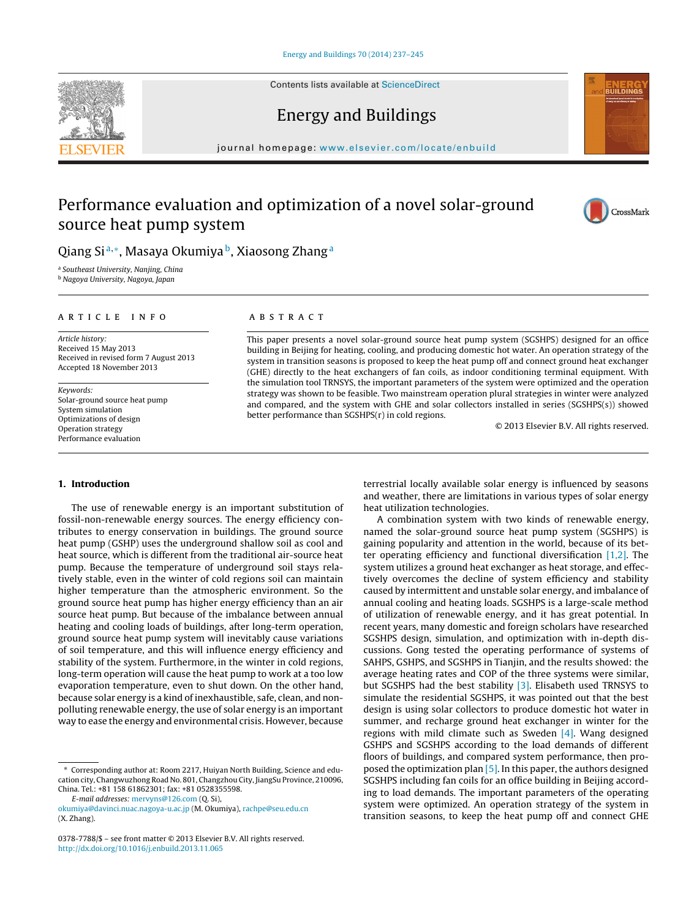Contents lists available at [ScienceDirect](http://www.sciencedirect.com/science/journal/03787788)

# Energy and Buildings

iournal homepage: [www.elsevier.com/locate/enbuild](http://www.elsevier.com/locate/enbuild)

## Performance evaluation and optimization of a novel solar-ground source heat pump system



<sup>a</sup> Southeast University, Nanjing, China

<sup>b</sup> Nagoya University, Nagoya, Japan

#### a r t i c l e i n f o

Article history: Received 15 May 2013 Received in revised form 7 August 2013 Accepted 18 November 2013

Keywords: Solar-ground source heat pump System simulation Optimizations of design Operation strategy Performance evaluation

A B S T R A C T

This paper presents a novel solar-ground source heat pump system (SGSHPS) designed for an office building in Beijing for heating, cooling, and producing domestic hot water. An operation strategy of the system in transition seasons is proposed to keep the heat pump off and connect ground heat exchanger (GHE) directly to the heat exchangers of fan coils, as indoor conditioning terminal equipment. With the simulation tool TRNSYS, the important parameters of the system were optimized and the operation strategy was shown to be feasible. Two mainstream operation plural strategies in winter were analyzed and compared, and the system with GHE and solar collectors installed in series (SGSHPS(s)) showed better performance than SGSHPS(r) in cold regions.

© 2013 Elsevier B.V. All rights reserved.

#### **1. Introduction**

The use of renewable energy is an important substitution of fossil-non-renewable energy sources. The energy efficiency contributes to energy conservation in buildings. The ground source heat pump (GSHP) uses the underground shallow soil as cool and heat source, which is different from the traditional air-source heat pump. Because the temperature of underground soil stays relatively stable, even in the winter of cold regions soil can maintain higher temperature than the atmospheric environment. So the ground source heat pump has higher energy efficiency than an air source heat pump. But because of the imbalance between annual heating and cooling loads of buildings, after long-term operation, ground source heat pump system will inevitably cause variations of soil temperature, and this will influence energy efficiency and stability of the system. Furthermore, in the winter in cold regions, long-term operation will cause the heat pump to work at a too low evaporation temperature, even to shut down. On the other hand, because solar energy is a kind of inexhaustible, safe, clean, and nonpolluting renewable energy, the use of solar energy is an important way to ease the energy and environmental crisis. However, because

∗ Corresponding author at: Room 2217, Huiyan North Building, Science and education city, Changwuzhong Road No. 801, Changzhou City, JiangSu Province, 210096, China. Tel.: +81 158 61862301; fax: +81 0528355598.

E-mail addresses: [mervyns@126.com](mailto:mervyns@126.com) (Q. Si),

terrestrial locally available solar energy is influenced by seasons and weather, there are limitations in various types of solar energy heat utilization technologies.

A combination system with two kinds of renewable energy, named the solar-ground source heat pump system (SGSHPS) is gaining popularity and attention in the world, because of its better operating efficiency and functional diversification [\[1,2\].](#page--1-0) The system utilizes a ground heat exchanger as heat storage, and effectively overcomes the decline of system efficiency and stability caused by intermittent and unstable solar energy, and imbalance of annual cooling and heating loads. SGSHPS is a large-scale method of utilization of renewable energy, and it has great potential. In recent years, many domestic and foreign scholars have researched SGSHPS design, simulation, and optimization with in-depth discussions. Gong tested the operating performance of systems of SAHPS, GSHPS, and SGSHPS in Tianjin, and the results showed: the average heating rates and COP of the three systems were similar, but SGSHPS had the best stability [\[3\].](#page--1-0) Elisabeth used TRNSYS to simulate the residential SGSHPS, it was pointed out that the best design is using solar collectors to produce domestic hot water in summer, and recharge ground heat exchanger in winter for the regions with mild climate such as Sweden  $[4]$ . Wang designed GSHPS and SGSHPS according to the load demands of different floors of buildings, and compared system performance, then proposed the optimization plan [\[5\].](#page--1-0) In this paper, the authors designed SGSHPS including fan coils for an office building in Beijing according to load demands. The important parameters of the operating system were optimized. An operation strategy of the system in transition seasons, to keep the heat pump off and connect GHE







[okumiya@davinci.nuac.nagoya-u.ac.jp](mailto:okumiya@davinci.nuac.nagoya-u.ac.jp) (M. Okumiya), [rachpe@seu.edu.cn](mailto:rachpe@seu.edu.cn) (X. Zhang).

<sup>0378-7788/\$</sup> – see front matter © 2013 Elsevier B.V. All rights reserved. [http://dx.doi.org/10.1016/j.enbuild.2013.11.065](dx.doi.org/10.1016/j.enbuild.2013.11.065)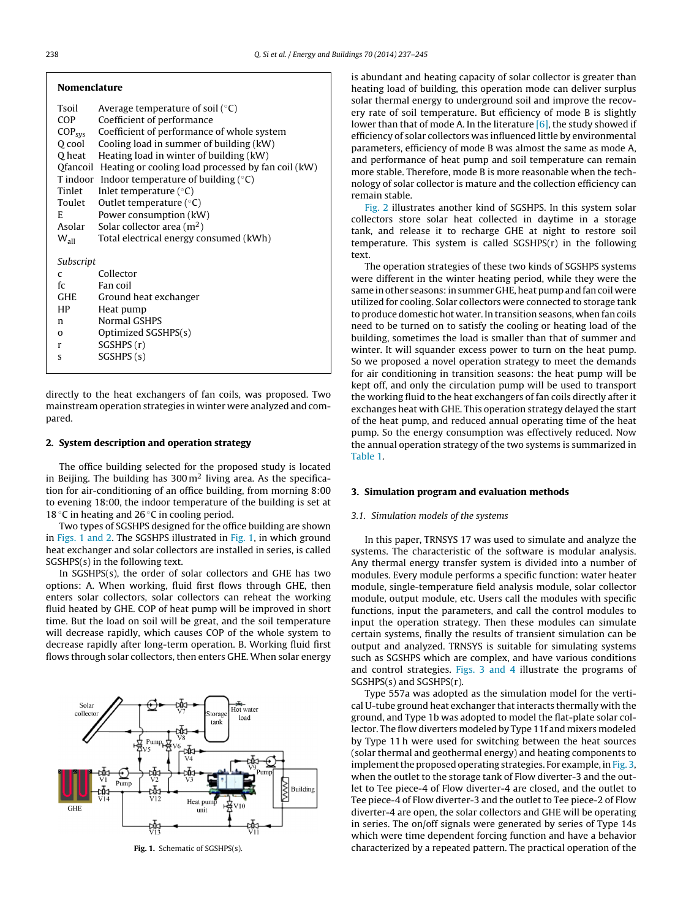| Tsoil              | Average temperature of soil $(°C)$                          |
|--------------------|-------------------------------------------------------------|
| <b>COP</b>         | Coefficient of performance                                  |
| COP <sub>sys</sub> | Coefficient of performance of whole system                  |
| O cool             | Cooling load in summer of building (kW)                     |
| O heat             | Heating load in winter of building (kW)                     |
|                    | Ofancoil Heating or cooling load processed by fan coil (kW) |
|                    | T indoor Indoor temperature of building $(°C)$              |
| Tinlet             | Inlet temperature $(°C)$                                    |
| Toulet             | Outlet temperature ( $\degree$ C)                           |
| E                  | Power consumption (kW)                                      |
| Asolar             | Solar collector area $(m2)$                                 |
| $W_{all}$          | Total electrical energy consumed (kWh)                      |
| Subscript          |                                                             |
| $\mathsf{C}$       | Collector                                                   |
| fc                 | Fan coil                                                    |
| <b>GHE</b>         | Ground heat exchanger                                       |
| HP                 | Heat pump                                                   |
| n.                 | Normal GSHPS                                                |
| $\Omega$           | Optimized SGSHPS(s)                                         |
| $\mathbf{r}$       | SGSHPS(r)                                                   |
| S                  | SGSHPS(s)                                                   |
|                    |                                                             |

directly to the heat exchangers of fan coils, was proposed. Two mainstream operation strategies in winter were analyzed and compared.

### **2. System description and operation strategy**

The office building selected for the proposed study is located in Beijing. The building has  $300 \,\mathrm{m}^2$  living area. As the specification for air-conditioning of an office building, from morning 8:00 to evening 18:00, the indoor temperature of the building is set at 18 °C in heating and 26 °C in cooling period.

Two types of SGSHPS designed for the office building are shown in Figs. 1 and 2. The SGSHPS illustrated in Fig. 1, in which ground heat exchanger and solar collectors are installed in series, is called SGSHPS(s) in the following text.

In SGSHPS(s), the order of solar collectors and GHE has two options: A. When working, fluid first flows through GHE, then enters solar collectors, solar collectors can reheat the working fluid heated by GHE. COP of heat pump will be improved in short time. But the load on soil will be great, and the soil temperature will decrease rapidly, which causes COP of the whole system to decrease rapidly after long-term operation. B. Working fluid first flows through solar collectors, then enters GHE. When solar energy



**Fig. 1.** Schematic of SGSHPS(s).

is abundant and heating capacity of solar collector is greater than heating load of building, this operation mode can deliver surplus solar thermal energy to underground soil and improve the recovery rate of soil temperature. But efficiency of mode B is slightly lower than that of mode A. In the literature  $[6]$ , the study showed if efficiency of solar collectors was influenced little by environmental parameters, efficiency of mode B was almost the same as mode A, and performance of heat pump and soil temperature can remain more stable. Therefore, mode B is more reasonable when the technology of solar collector is mature and the collection efficiency can remain stable.

[Fig.](#page--1-0) 2 illustrates another kind of SGSHPS. In this system solar collectors store solar heat collected in daytime in a storage tank, and release it to recharge GHE at night to restore soil temperature. This system is called  $SGSHPS(r)$  in the following text.

The operation strategies of these two kinds of SGSHPS systems were different in the winter heating period, while they were the same in other seasons: in summer GHE, heat pump and fan coil were utilized for cooling. Solar collectors were connected to storage tank to produce domestic hot water. In transition seasons, when fan coils need to be turned on to satisfy the cooling or heating load of the building, sometimes the load is smaller than that of summer and winter. It will squander excess power to turn on the heat pump. So we proposed a novel operation strategy to meet the demands for air conditioning in transition seasons: the heat pump will be kept off, and only the circulation pump will be used to transport the working fluid to the heat exchangers of fan coils directly after it exchanges heat with GHE. This operation strategy delayed the start of the heat pump, and reduced annual operating time of the heat pump. So the energy consumption was effectively reduced. Now the annual operation strategy of the two systems is summarized in [Table](#page--1-0) 1.

#### **3. Simulation program and evaluation methods**

#### 3.1. Simulation models of the systems

In this paper, TRNSYS 17 was used to simulate and analyze the systems. The characteristic of the software is modular analysis. Any thermal energy transfer system is divided into a number of modules. Every module performs a specific function: water heater module, single-temperature field analysis module, solar collector module, output module, etc. Users call the modules with specific functions, input the parameters, and call the control modules to input the operation strategy. Then these modules can simulate certain systems, finally the results of transient simulation can be output and analyzed. TRNSYS is suitable for simulating systems such as SGSHPS which are complex, and have various conditions and control strategies. [Figs.](#page--1-0) 3 and 4 illustrate the programs of SGSHPS(s) and SGSHPS(r).

Type 557a was adopted as the simulation model for the vertical U-tube ground heat exchanger that interacts thermally with the ground, and Type 1b was adopted to model the flat-plate solar collector. The flow diverters modeled by Type 11f and mixers modeled by Type 11 h were used for switching between the heat sources (solar thermal and geothermal energy) and heating components to implement the proposed operating strategies. For example, in [Fig.](#page--1-0) 3, when the outlet to the storage tank of Flow diverter-3 and the outlet to Tee piece-4 of Flow diverter-4 are closed, and the outlet to Tee piece-4 of Flow diverter-3 and the outlet to Tee piece-2 of Flow diverter-4 are open, the solar collectors and GHE will be operating in series. The on/off signals were generated by series of Type 14s which were time dependent forcing function and have a behavior characterized by a repeated pattern. The practical operation of the